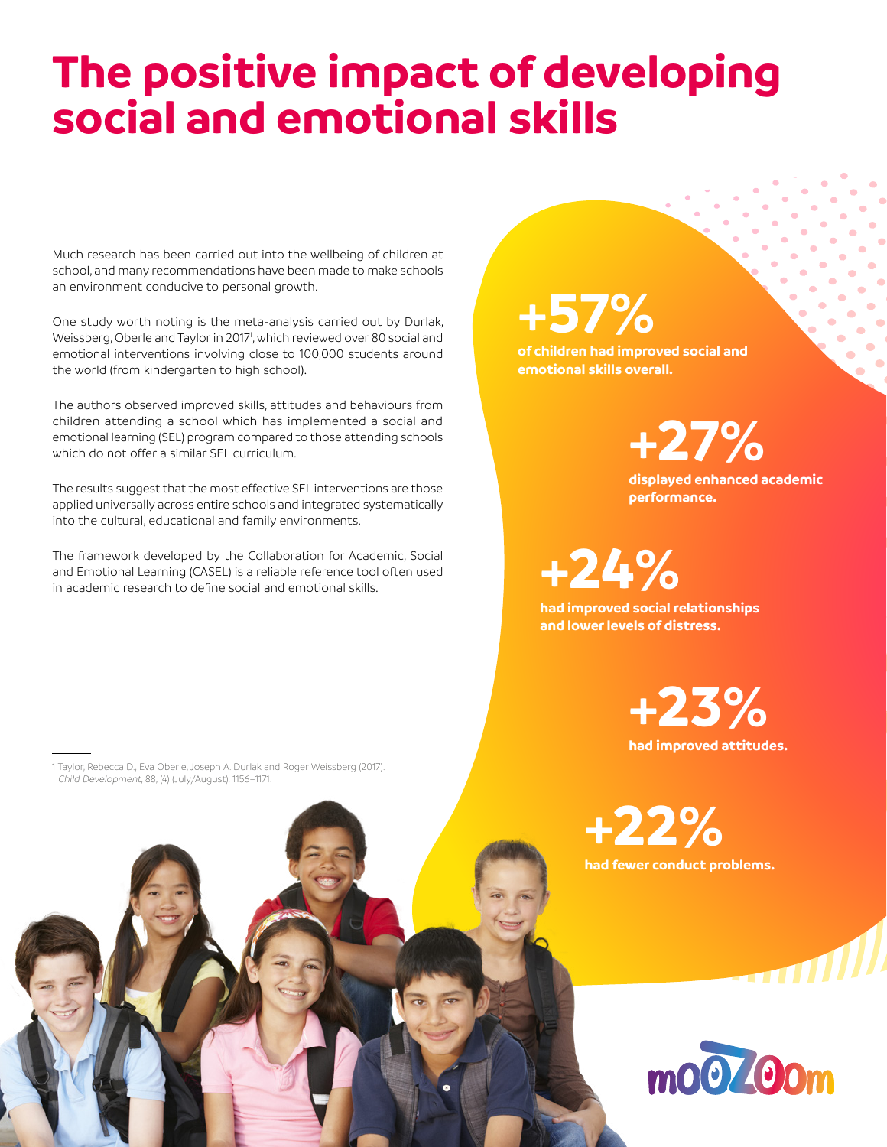## **The positive impact of developing social and emotional skills**

Much research has been carried out into the wellbeing of children at school, and many recommendations have been made to make schools an environment conducive to personal growth.

One study worth noting is the meta-analysis carried out by Durlak, Weissberg, Oberle and Taylor in 2017<sup>1</sup>, which reviewed over 80 social and emotional interventions involving close to 100,000 students around the world (from kindergarten to high school).

The authors observed improved skills, attitudes and behaviours from children attending a school which has implemented a social and emotional learning (SEL) program compared to those attending schools which do not offer a similar SEL curriculum.

The results suggest that the most effective SEL interventions are those applied universally across entire schools and integrated systematically into the cultural, educational and family environments.

The framework developed by the Collaboration for Academic, Social and Emotional Learning (CASEL) is a reliable reference tool often used in academic research to define social and emotional skills.

**+57%**

**of children had improved social and emotional skills overall.** 

**+27%**

**displayed enhanced academic performance.**

**+24%**

**had improved social relationships and lower levels of distress.**

> **had improved attitudes. +23%**

**had fewer conduct problems. +22%**



anıllı

1 Taylor, Rebecca D., Eva Oberle, Joseph A. Durlak and Roger Weissberg (2017). Child Development, 88, (4) (July/August), 1156–1171.